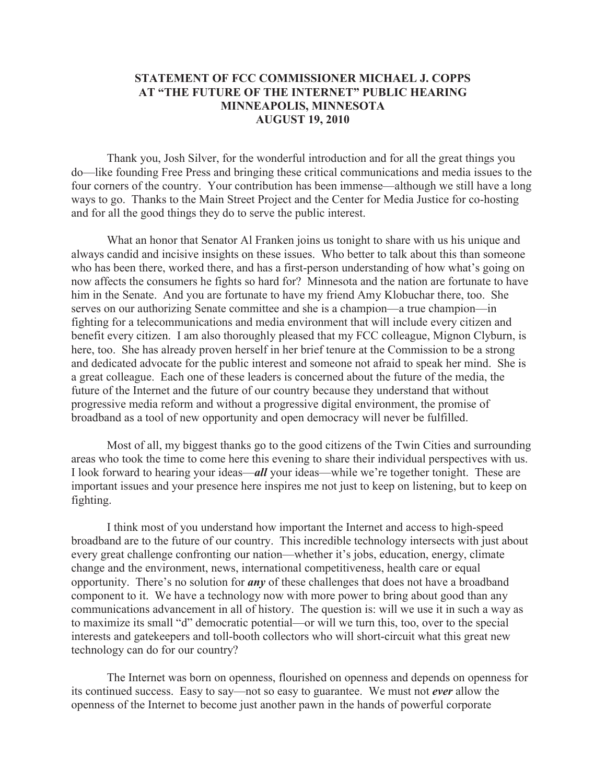## **STATEMENT OF FCC COMMISSIONER MICHAEL J. COPPS AT "THE FUTURE OF THE INTERNET" PUBLIC HEARING MINNEAPOLIS, MINNESOTA AUGUST 19, 2010**

Thank you, Josh Silver, for the wonderful introduction and for all the great things you do—like founding Free Press and bringing these critical communications and media issues to the four corners of the country. Your contribution has been immense—although we still have a long ways to go. Thanks to the Main Street Project and the Center for Media Justice for co-hosting and for all the good things they do to serve the public interest.

What an honor that Senator Al Franken joins us tonight to share with us his unique and always candid and incisive insights on these issues. Who better to talk about this than someone who has been there, worked there, and has a first-person understanding of how what's going on now affects the consumers he fights so hard for? Minnesota and the nation are fortunate to have him in the Senate. And you are fortunate to have my friend Amy Klobuchar there, too. She serves on our authorizing Senate committee and she is a champion—a true champion—in fighting for a telecommunications and media environment that will include every citizen and benefit every citizen. I am also thoroughly pleased that my FCC colleague, Mignon Clyburn, is here, too. She has already proven herself in her brief tenure at the Commission to be a strong and dedicated advocate for the public interest and someone not afraid to speak her mind. She is a great colleague. Each one of these leaders is concerned about the future of the media, the future of the Internet and the future of our country because they understand that without progressive media reform and without a progressive digital environment, the promise of broadband as a tool of new opportunity and open democracy will never be fulfilled.

Most of all, my biggest thanks go to the good citizens of the Twin Cities and surrounding areas who took the time to come here this evening to share their individual perspectives with us. I look forward to hearing your ideas—*all* your ideas—while we're together tonight. These are important issues and your presence here inspires me not just to keep on listening, but to keep on fighting.

I think most of you understand how important the Internet and access to high-speed broadband are to the future of our country. This incredible technology intersects with just about every great challenge confronting our nation—whether it's jobs, education, energy, climate change and the environment, news, international competitiveness, health care or equal opportunity. There's no solution for *any* of these challenges that does not have a broadband component to it. We have a technology now with more power to bring about good than any communications advancement in all of history. The question is: will we use it in such a way as to maximize its small "d" democratic potential—or will we turn this, too, over to the special interests and gatekeepers and toll-booth collectors who will short-circuit what this great new technology can do for our country?

The Internet was born on openness, flourished on openness and depends on openness for its continued success. Easy to say—not so easy to guarantee. We must not *ever* allow the openness of the Internet to become just another pawn in the hands of powerful corporate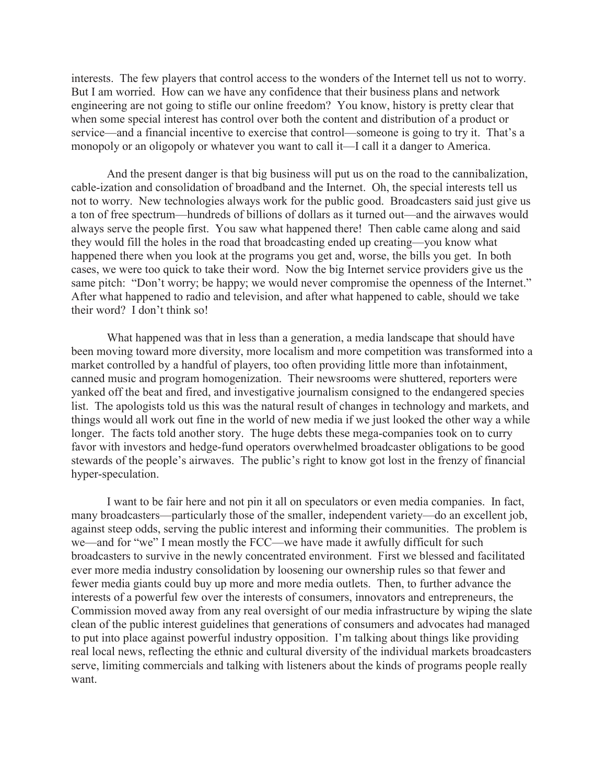interests. The few players that control access to the wonders of the Internet tell us not to worry. But I am worried. How can we have any confidence that their business plans and network engineering are not going to stifle our online freedom? You know, history is pretty clear that when some special interest has control over both the content and distribution of a product or service—and a financial incentive to exercise that control—someone is going to try it. That's a monopoly or an oligopoly or whatever you want to call it—I call it a danger to America.

And the present danger is that big business will put us on the road to the cannibalization, cable-ization and consolidation of broadband and the Internet. Oh, the special interests tell us not to worry. New technologies always work for the public good. Broadcasters said just give us a ton of free spectrum—hundreds of billions of dollars as it turned out—and the airwaves would always serve the people first. You saw what happened there! Then cable came along and said they would fill the holes in the road that broadcasting ended up creating—you know what happened there when you look at the programs you get and, worse, the bills you get. In both cases, we were too quick to take their word. Now the big Internet service providers give us the same pitch: "Don't worry; be happy; we would never compromise the openness of the Internet." After what happened to radio and television, and after what happened to cable, should we take their word? I don't think so!

What happened was that in less than a generation, a media landscape that should have been moving toward more diversity, more localism and more competition was transformed into a market controlled by a handful of players, too often providing little more than infotainment, canned music and program homogenization. Their newsrooms were shuttered, reporters were yanked off the beat and fired, and investigative journalism consigned to the endangered species list. The apologists told us this was the natural result of changes in technology and markets, and things would all work out fine in the world of new media if we just looked the other way a while longer. The facts told another story. The huge debts these mega-companies took on to curry favor with investors and hedge-fund operators overwhelmed broadcaster obligations to be good stewards of the people's airwaves. The public's right to know got lost in the frenzy of financial hyper-speculation.

I want to be fair here and not pin it all on speculators or even media companies. In fact, many broadcasters—particularly those of the smaller, independent variety—do an excellent job, against steep odds, serving the public interest and informing their communities. The problem is we—and for "we" I mean mostly the FCC—we have made it awfully difficult for such broadcasters to survive in the newly concentrated environment. First we blessed and facilitated ever more media industry consolidation by loosening our ownership rules so that fewer and fewer media giants could buy up more and more media outlets. Then, to further advance the interests of a powerful few over the interests of consumers, innovators and entrepreneurs, the Commission moved away from any real oversight of our media infrastructure by wiping the slate clean of the public interest guidelines that generations of consumers and advocates had managed to put into place against powerful industry opposition. I'm talking about things like providing real local news, reflecting the ethnic and cultural diversity of the individual markets broadcasters serve, limiting commercials and talking with listeners about the kinds of programs people really want.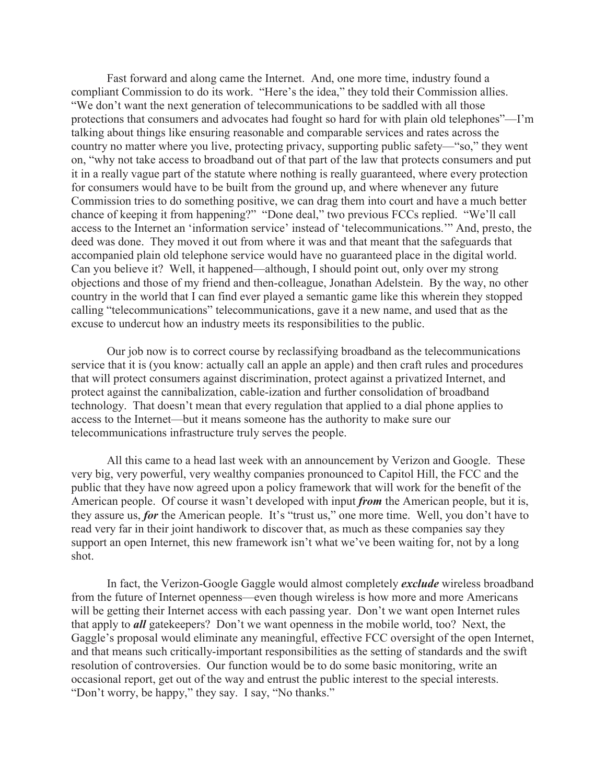Fast forward and along came the Internet. And, one more time, industry found a compliant Commission to do its work. "Here's the idea," they told their Commission allies. "We don't want the next generation of telecommunications to be saddled with all those protections that consumers and advocates had fought so hard for with plain old telephones"—I'm talking about things like ensuring reasonable and comparable services and rates across the country no matter where you live, protecting privacy, supporting public safety—"so," they went on, "why not take access to broadband out of that part of the law that protects consumers and put it in a really vague part of the statute where nothing is really guaranteed, where every protection for consumers would have to be built from the ground up, and where whenever any future Commission tries to do something positive, we can drag them into court and have a much better chance of keeping it from happening?" "Done deal," two previous FCCs replied. "We'll call access to the Internet an 'information service' instead of 'telecommunications.'" And, presto, the deed was done. They moved it out from where it was and that meant that the safeguards that accompanied plain old telephone service would have no guaranteed place in the digital world. Can you believe it? Well, it happened—although, I should point out, only over my strong objections and those of my friend and then-colleague, Jonathan Adelstein. By the way, no other country in the world that I can find ever played a semantic game like this wherein they stopped calling "telecommunications" telecommunications, gave it a new name, and used that as the excuse to undercut how an industry meets its responsibilities to the public.

Our job now is to correct course by reclassifying broadband as the telecommunications service that it is (you know: actually call an apple an apple) and then craft rules and procedures that will protect consumers against discrimination, protect against a privatized Internet, and protect against the cannibalization, cable-ization and further consolidation of broadband technology. That doesn't mean that every regulation that applied to a dial phone applies to access to the Internet—but it means someone has the authority to make sure our telecommunications infrastructure truly serves the people.

All this came to a head last week with an announcement by Verizon and Google. These very big, very powerful, very wealthy companies pronounced to Capitol Hill, the FCC and the public that they have now agreed upon a policy framework that will work for the benefit of the American people. Of course it wasn't developed with input *from* the American people, but it is, they assure us, *for* the American people. It's "trust us," one more time. Well, you don't have to read very far in their joint handiwork to discover that, as much as these companies say they support an open Internet, this new framework isn't what we've been waiting for, not by a long shot.

In fact, the Verizon-Google Gaggle would almost completely *exclude* wireless broadband from the future of Internet openness—even though wireless is how more and more Americans will be getting their Internet access with each passing year. Don't we want open Internet rules that apply to *all* gatekeepers? Don't we want openness in the mobile world, too? Next, the Gaggle's proposal would eliminate any meaningful, effective FCC oversight of the open Internet, and that means such critically-important responsibilities as the setting of standards and the swift resolution of controversies. Our function would be to do some basic monitoring, write an occasional report, get out of the way and entrust the public interest to the special interests. "Don't worry, be happy," they say. I say, "No thanks."